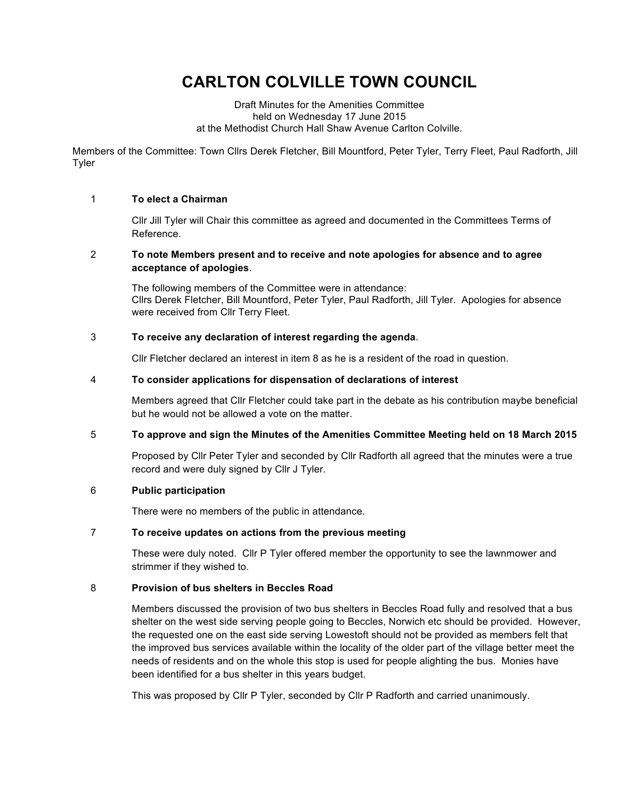# **CARLTON COLVILLE TOWN COUNCIL**

Draft Minutes for the Amenities Committee held on Wednesday 17 June 2015 at the Methodist Church Hall Shaw Avenue Carlton Colville.

Members of the Committee: Town Cllrs Derek Fletcher, Bill Mountford, Peter Tyler, Terry Fleet, Paul Radforth, Jill Tyler

### 1 **To elect a Chairman**

Cllr Jill Tyler will Chair this committee as agreed and documented in the Committees Terms of Reference.

### 2 **To note Members present and to receive and note apologies for absence and to agree acceptance of apologies**.

The following members of the Committee were in attendance: Cllrs Derek Fletcher, Bill Mountford, Peter Tyler, Paul Radforth, Jill Tyler. Apologies for absence were received from Cllr Terry Fleet.

#### 3 **To receive any declaration of interest regarding the agenda**.

Cllr Fletcher declared an interest in item 8 as he is a resident of the road in question.

#### 4 **To consider applications for dispensation of declarations of interest**

Members agreed that Cllr Fletcher could take part in the debate as his contribution maybe beneficial but he would not be allowed a vote on the matter.

#### 5 **To approve and sign the Minutes of the Amenities Committee Meeting held on 18 March 2015**

Proposed by Cllr Peter Tyler and seconded by Cllr Radforth all agreed that the minutes were a true record and were duly signed by Cllr J Tyler.

#### 6 **Public participation**

There were no members of the public in attendance.

# 7 **To receive updates on actions from the previous meeting**

These were duly noted. Cllr P Tyler offered member the opportunity to see the lawnmower and strimmer if they wished to.

# 8 **Provision of bus shelters in Beccles Road**

Members discussed the provision of two bus shelters in Beccles Road fully and resolved that a bus shelter on the west side serving people going to Beccles, Norwich etc should be provided. However, the requested one on the east side serving Lowestoft should not be provided as members felt that the improved bus services available within the locality of the older part of the village better meet the needs of residents and on the whole this stop is used for people alighting the bus. Monies have been identified for a bus shelter in this years budget.

This was proposed by Cllr P Tyler, seconded by Cllr P Radforth and carried unanimously.